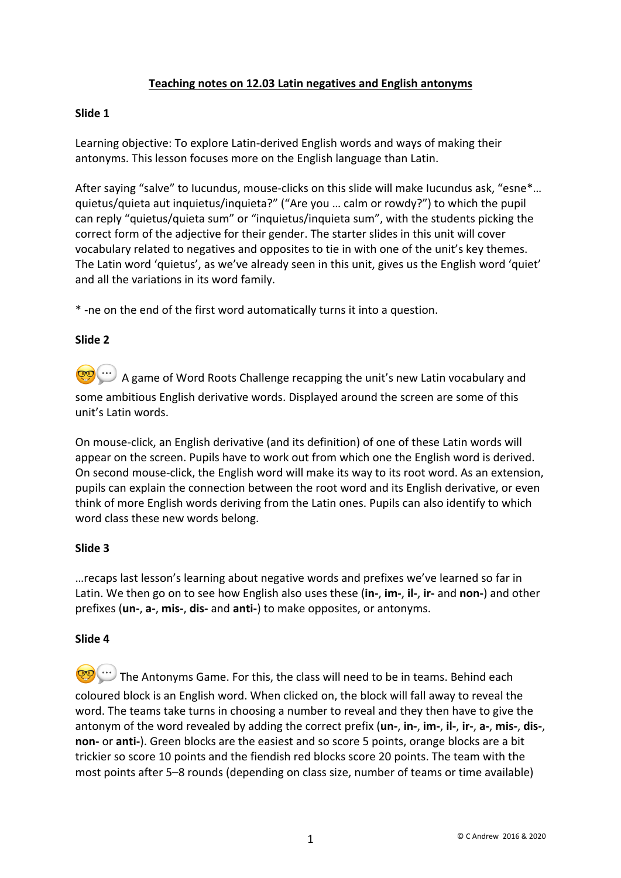# **Teaching notes on 12.03 Latin negatives and English antonyms**

## **Slide 1**

Learning objective: To explore Latin-derived English words and ways of making their antonyms. This lesson focuses more on the English language than Latin.

After saying "salve" to Iucundus, mouse-clicks on this slide will make Iucundus ask, "esne\*... quietus/quieta aut inquietus/inquieta?" ("Are you … calm or rowdy?") to which the pupil can reply "quietus/quieta sum" or "inquietus/inquieta sum", with the students picking the correct form of the adjective for their gender. The starter slides in this unit will cover vocabulary related to negatives and opposites to tie in with one of the unit's key themes. The Latin word 'quietus', as we've already seen in this unit, gives us the English word 'quiet' and all the variations in its word family.

\* -ne on the end of the first word automatically turns it into a question.

## **Slide 2**

**CO** ...) A game of Word Roots Challenge recapping the unit's new Latin vocabulary and some ambitious English derivative words. Displayed around the screen are some of this unit's Latin words.

On mouse-click, an English derivative (and its definition) of one of these Latin words will appear on the screen. Pupils have to work out from which one the English word is derived. On second mouse-click, the English word will make its way to its root word. As an extension, pupils can explain the connection between the root word and its English derivative, or even think of more English words deriving from the Latin ones. Pupils can also identify to which word class these new words belong.

#### **Slide 3**

…recaps last lesson's learning about negative words and prefixes we've learned so far in Latin. We then go on to see how English also uses these (**in-**, **im-**, **il-**, **ir-** and **non-**) and other prefixes (**un-**, **a-**, **mis-**, **dis-** and **anti-**) to make opposites, or antonyms.

#### **Slide 4**

**The Antonyms Game. For this, the class will need to be in teams. Behind each** coloured block is an English word. When clicked on, the block will fall away to reveal the word. The teams take turns in choosing a number to reveal and they then have to give the antonym of the word revealed by adding the correct prefix (**un-**, **in-**, **im-**, **il-**, **ir-**, **a-**, **mis-**, **dis-**, **non-** or **anti-**). Green blocks are the easiest and so score 5 points, orange blocks are a bit trickier so score 10 points and the fiendish red blocks score 20 points. The team with the most points after 5–8 rounds (depending on class size, number of teams or time available)